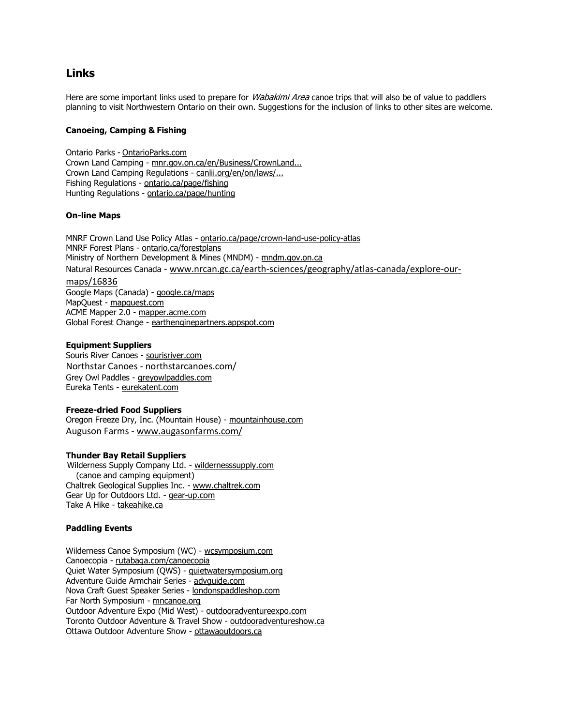# **Links**

Here are some important links used to prepare for *Wabakimi Area* canoe trips that will also be of value to paddlers planning to visit Northwestern Ontario on their own. Suggestions for the inclusion of links to other sites are welcome.

# **Canoeing, Camping & Fishing**

Ontario Parks - OntarioParks.com Crown Land Camping - mnr.gov.on.ca/en/Business/CrownLand... Crown Land Camping Regulations - canlii.org/en/on/laws/... Fishing Regulations - ontario.ca/page/fishing Hunting Regulations - ontario.ca/page/hunting

# **On-line Maps**

MNRF Crown Land Use Policy Atlas - ontario.ca/page/crown-land-use-policy-atlas MNRF Forest Plans - ontario.ca/forestplans Ministry of Northern Development & Mines (MNDM) - mndm.gov.on.ca Natural Resources Canada - [www.nrcan.gc.ca/earth-sciences/geography/atlas-canada/explore-our](http://www.nrcan.gc.ca/earth-sciences/geography/atlas-canada/explore-our-)maps/16836 Google Maps (Canada) - google.ca/maps MapQuest - mapquest.com ACME Mapper 2.0 - mapper.acme.com Global Forest Change - earthenginepartners.appspot.com

# **Equipment Suppliers**

Souris River Canoes - sourisriver.com Northstar Canoes - northstarcanoes.com/ Grey Owl Paddles - greyowlpaddles.com Eureka Tents - eurekatent.com

### **Freeze-dried Food Suppliers**

Oregon Freeze Dry, Inc. (Mountain House) - mountainhouse.com Auguson Farms - [www.augasonfarms.com/](http://www.augasonfarms.com/)

# **Thunder Bay Retail Suppliers**

 Wilderness Supply Company Ltd. - wildernesssupply.com (canoe and camping equipment) Chaltrek Geological Supplies Inc. - [www.chaltrek.com](http://www.chaltrek.com/) Gear Up for Outdoors Ltd. - gear-up.com Take A Hike - takeahike.ca

#### **Paddling Events**

Wilderness Canoe Symposium (WC) - wcsymposium.com Canoecopia - rutabaga.com/canoecopia Quiet Water Symposium (QWS) - quietwatersymposium.org Adventure Guide Armchair Series - advguide.com Nova Craft Guest Speaker Series - londonspaddleshop.com Far North Symposium - mncanoe.org Outdoor Adventure Expo (Mid West) - outdooradventureexpo.com Toronto Outdoor Adventure & Travel Show - outdooradventureshow.ca Ottawa Outdoor Adventure Show - ottawaoutdoors.ca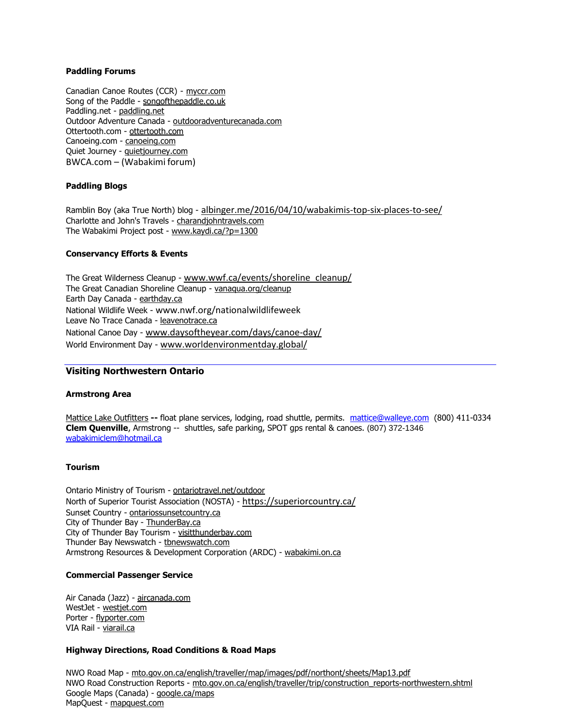# **Paddling Forums**

Canadian Canoe Routes (CCR) - myccr.com Song of the Paddle - songofthepaddle.co.uk Paddling.net - paddling.net Outdoor Adventure Canada - outdooradventurecanada.com Ottertooth.com - ottertooth.com Canoeing.com - canoeing.com Quiet Journey - quietjourney.com BWCA.com – (Wabakimi forum)

# **Paddling Blogs**

Ramblin Boy (aka True North) blog - albinger.me/2016/04/10/wabakimis-top-six-places-to-see/ Charlotte and John's Travels - charandjohntravels.com The Wabakimi Project post - [www.kaydi.ca/?p=1300](http://www.kaydi.ca/?p=1300)

# **Conservancy Efforts & Events**

The Great Wilderness Cleanup - [www.wwf.ca/events/shoreline\\_cleanup/](http://www.wwf.ca/events/shoreline_cleanup/) The Great Canadian Shoreline Cleanup - vanaqua.org/cleanup Earth Day Canada - earthday.ca National Wildlife Week - [www.nwf.org/nationalwildlifeweek](http://www.nwf.org/nationalwildlifeweek) Leave No Trace Canada - leavenotrace.ca National Canoe Day - [www.daysoftheyear.com/days/canoe-day/](http://www.daysoftheyear.com/days/canoe-day/) World Environment Day - [www.worldenvironmentday.global/](http://www.worldenvironmentday.global/)

# **Visiting Northwestern Ontario**

#### **Armstrong Area**

[Mattice Lake Outfitters](https://www.walleye.ca/) **--** float plane services, lodging, road shuttle, permits. [mattice@walleye.com](mailto:mattice@walleye.com) (800) 411-0334 **Clem Quenville**, Armstrong -- shuttles, safe parking, SPOT gps rental & canoes. (807) 372-1346 [wabakimiclem@hotmail.ca](mailto:wabakimiclem@hotmail.ca)

#### **Tourism**

Ontario Ministry of Tourism - ontariotravel.net/outdoor North of Superior Tourist Association (NOSTA) - https://superiorcountry.ca/ Sunset Country - ontariossunsetcountry.ca City of Thunder Bay - ThunderBay.ca City of Thunder Bay Tourism - visitthunderbay.com Thunder Bay Newswatch - thewswatch.com Armstrong Resources & Development Corporation (ARDC) - wabakimi.on.ca

#### **Commercial Passenger Service**

Air Canada (Jazz) - aircanada.com WestJet - westjet.com Porter - flyporter.com VIA Rail - viarail.ca

#### **Highway Directions, Road Conditions & Road Maps**

NWO Road Map - mto.gov.on.ca/english/traveller/map/images/pdf/northont/sheets/Map13.pdf NWO Road Construction Reports - mto.gov.on.ca/english/traveller/trip/construction\_reports-northwestern.shtml Google Maps (Canada) - google.ca/maps MapQuest - mapquest.com